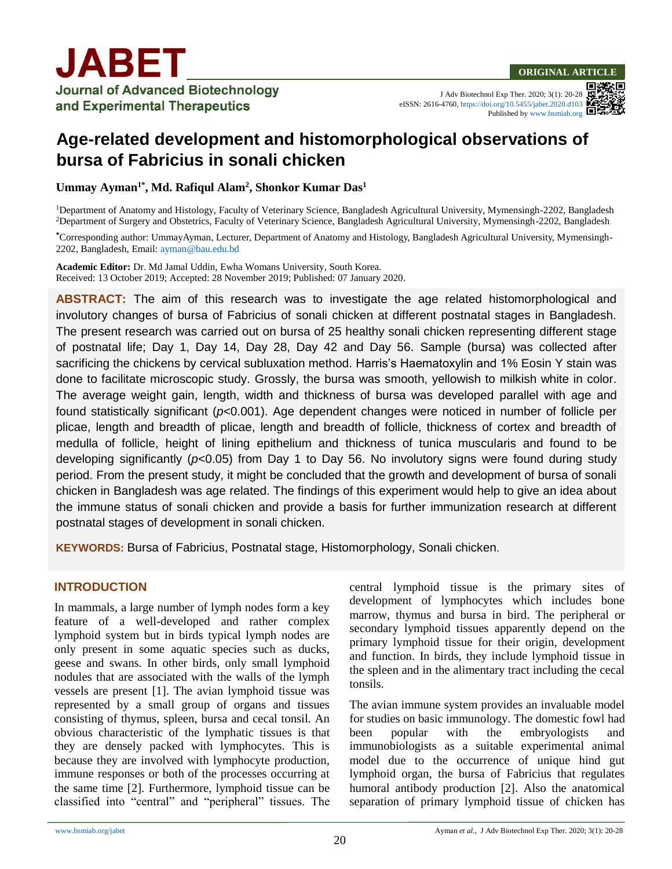J Adv Biotechnol Exp Ther. 2020; 3(1): 20-28 eISSN: 2616-4760,<https://doi.org/10.5455/jabet.2020.d103> Published b[y www.bsmiab.org](http://www.bsmiab.org/)

# **Age-related development and histomorphological observations of bursa of Fabricius in sonali chicken**

**Ummay Ayman1\* , Md. Rafiqul Alam<sup>2</sup> , Shonkor Kumar Das<sup>1</sup>**

<sup>1</sup>Department of Anatomy and Histology, Faculty of Veterinary Science, Bangladesh Agricultural University, Mymensingh-2202, Bangladesh <sup>2</sup>Department of Surgery and Obstetrics, Faculty of Veterinary Science, Bangladesh Agricultural University, Mymensingh-2202, Bangladesh

**\***Corresponding author: UmmayAyman, Lecturer, Department of Anatomy and Histology, Bangladesh Agricultural University, Mymensingh-2202, Bangladesh, Email: [ayman@bau.edu.bd](mailto:ayman@bau.edu.bd)

**Academic Editor:** Dr. Md Jamal Uddin, Ewha Womans University, South Korea. Received: 13 October 2019; Accepted: 28 November 2019; Published: 07 January 2020.

**ABSTRACT:** The aim of this research was to investigate the age related histomorphological and involutory changes of bursa of Fabricius of sonali chicken at different postnatal stages in Bangladesh. The present research was carried out on bursa of 25 healthy sonali chicken representing different stage of postnatal life; Day 1, Day 14, Day 28, Day 42 and Day 56. Sample (bursa) was collected after sacrificing the chickens by cervical subluxation method. Harris's Haematoxylin and 1% Eosin Y stain was done to facilitate microscopic study. Grossly, the bursa was smooth, yellowish to milkish white in color. The average weight gain, length, width and thickness of bursa was developed parallel with age and found statistically significant (*p*<0.001). Age dependent changes were noticed in number of follicle per plicae, length and breadth of plicae, length and breadth of follicle, thickness of cortex and breadth of medulla of follicle, height of lining epithelium and thickness of tunica muscularis and found to be developing significantly (*p*<0.05) from Day 1 to Day 56. No involutory signs were found during study period. From the present study, it might be concluded that the growth and development of bursa of sonali chicken in Bangladesh was age related. The findings of this experiment would help to give an idea about the immune status of sonali chicken and provide a basis for further immunization research at different postnatal stages of development in sonali chicken.

**KEYWORDS:** Bursa of Fabricius, Postnatal stage, Histomorphology, Sonali chicken.

# **INTRODUCTION**

In mammals, a large number of lymph nodes form a key feature of a well-developed and rather complex lymphoid system but in birds typical lymph nodes are only present in some aquatic species such as ducks, geese and swans. In other birds, only small lymphoid nodules that are associated with the walls of the lymph vessels are present [1]. The avian lymphoid tissue was represented by a small group of organs and tissues consisting of thymus, spleen, bursa and cecal tonsil. An obvious characteristic of the lymphatic tissues is that they are densely packed with lymphocytes. This is because they are involved with lymphocyte production, immune responses or both of the processes occurring at the same time [2]. Furthermore, lymphoid tissue can be classified into "central" and "peripheral" tissues. The central lymphoid tissue is the primary sites of development of lymphocytes which includes bone marrow, thymus and bursa in bird. The peripheral or secondary lymphoid tissues apparently depend on the primary lymphoid tissue for their origin, development and function. In birds, they include lymphoid tissue in the spleen and in the alimentary tract including the cecal tonsils.

The avian immune system provides an invaluable model for studies on basic immunology. The domestic fowl had been popular with the embryologists and immunobiologists as a suitable experimental animal model due to the occurrence of unique hind gut lymphoid organ, the bursa of Fabricius that regulates humoral antibody production [2]. Also the anatomical separation of primary lymphoid tissue of chicken has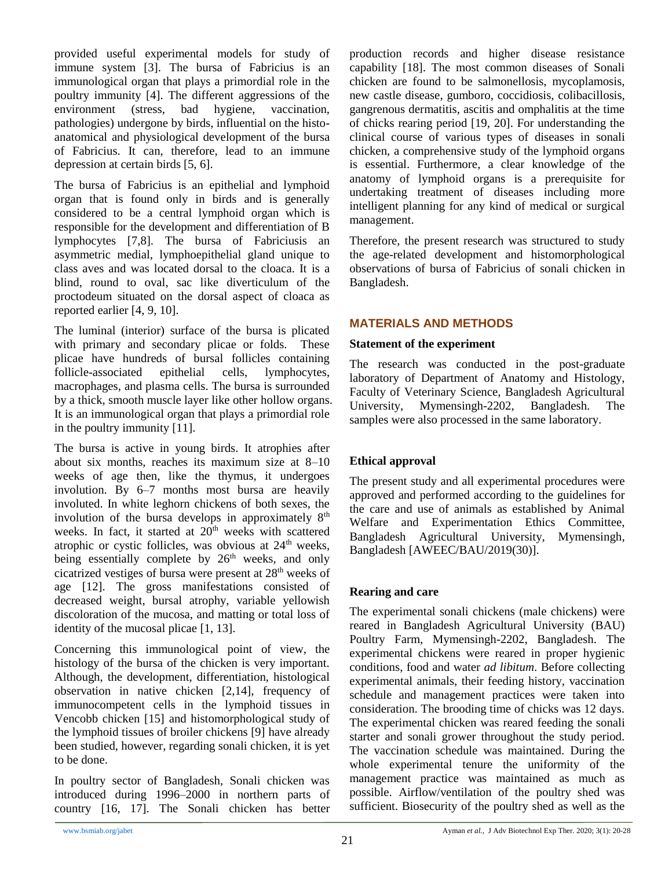provided useful experimental models for study of immune system [3]. The bursa of Fabricius is an immunological organ that plays a primordial role in the poultry immunity [4]. The different aggressions of the environment (stress, bad hygiene, vaccination, pathologies) undergone by birds, influential on the histoanatomical and physiological development of the bursa of Fabricius. It can, therefore, lead to an immune depression at certain birds [5, 6].

The bursa of Fabricius is an epithelial and lymphoid organ that is found only in birds and is generally considered to be a central lymphoid organ which is responsible for the development and differentiation of B lymphocytes [7,8]. The bursa of Fabriciusis an asymmetric medial, lymphoepithelial gland unique to class aves and was located dorsal to the cloaca. It is a blind, round to oval, sac like diverticulum of the proctodeum situated on the dorsal aspect of cloaca as reported earlier [4, 9, 10].

The luminal (interior) surface of the bursa is plicated with primary and secondary plicae or folds. These plicae have hundreds of bursal follicles containing follicle-associated epithelial cells, lymphocytes, macrophages, and plasma cells. The bursa is surrounded by a thick, smooth muscle layer like other hollow organs. It is an immunological organ that plays a primordial role in the poultry immunity [11].

The bursa is active in young birds. It atrophies after about six months, reaches its maximum size at 8–10 weeks of age then, like the thymus, it undergoes involution. By 6–7 months most bursa are heavily involuted. In white leghorn chickens of both sexes, the involution of the bursa develops in approximately  $8<sup>th</sup>$ weeks. In fact, it started at 20<sup>th</sup> weeks with scattered atrophic or cystic follicles, was obvious at  $24<sup>th</sup>$  weeks, being essentially complete by  $26<sup>th</sup>$  weeks, and only cicatrized vestiges of bursa were present at 28<sup>th</sup> weeks of age [12]. The gross manifestations consisted of decreased weight, bursal atrophy, variable yellowish discoloration of the mucosa, and matting or total loss of identity of the mucosal plicae [1, 13].

Concerning this immunological point of view, the histology of the bursa of the chicken is very important. Although, the development, differentiation, histological observation in native chicken [2,14], frequency of immunocompetent cells in the lymphoid tissues in Vencobb chicken [15] and histomorphological study of the lymphoid tissues of broiler chickens [9] have already been studied, however, regarding sonali chicken, it is yet to be done.

In poultry sector of Bangladesh, Sonali chicken was introduced during 1996–2000 in northern parts of country [16, 17]. The Sonali chicken has better production records and higher disease resistance capability [18]. The most common diseases of Sonali chicken are found to be salmonellosis, mycoplamosis, new castle disease, gumboro, coccidiosis, colibacillosis, gangrenous dermatitis, ascitis and omphalitis at the time of chicks rearing period [19, 20]. For understanding the clinical course of various types of diseases in sonali chicken, a comprehensive study of the lymphoid organs is essential. Furthermore, a clear knowledge of the anatomy of lymphoid organs is a prerequisite for undertaking treatment of diseases including more intelligent planning for any kind of medical or surgical management.

Therefore, the present research was structured to study the age-related development and histomorphological observations of bursa of Fabricius of sonali chicken in Bangladesh.

# **MATERIALS AND METHODS**

### **Statement of the experiment**

The research was conducted in the post-graduate laboratory of Department of Anatomy and Histology, Faculty of Veterinary Science, Bangladesh Agricultural University, Mymensingh-2202, Bangladesh. The samples were also processed in the same laboratory.

# **Ethical approval**

The present study and all experimental procedures were approved and performed according to the guidelines for the care and use of animals as established by Animal Welfare and Experimentation Ethics Committee, Bangladesh Agricultural University, Mymensingh, Bangladesh [AWEEC/BAU/2019(30)].

# **Rearing and care**

The experimental sonali chickens (male chickens) were reared in Bangladesh Agricultural University (BAU) Poultry Farm, Mymensingh-2202, Bangladesh. The experimental chickens were reared in proper hygienic conditions, food and water *ad libitum*. Before collecting experimental animals, their feeding history, vaccination schedule and management practices were taken into consideration. The brooding time of chicks was 12 days. The experimental chicken was reared feeding the sonali starter and sonali grower throughout the study period. The vaccination schedule was maintained. During the whole experimental tenure the uniformity of the management practice was maintained as much as possible. Airflow/ventilation of the poultry shed was sufficient. Biosecurity of the poultry shed as well as the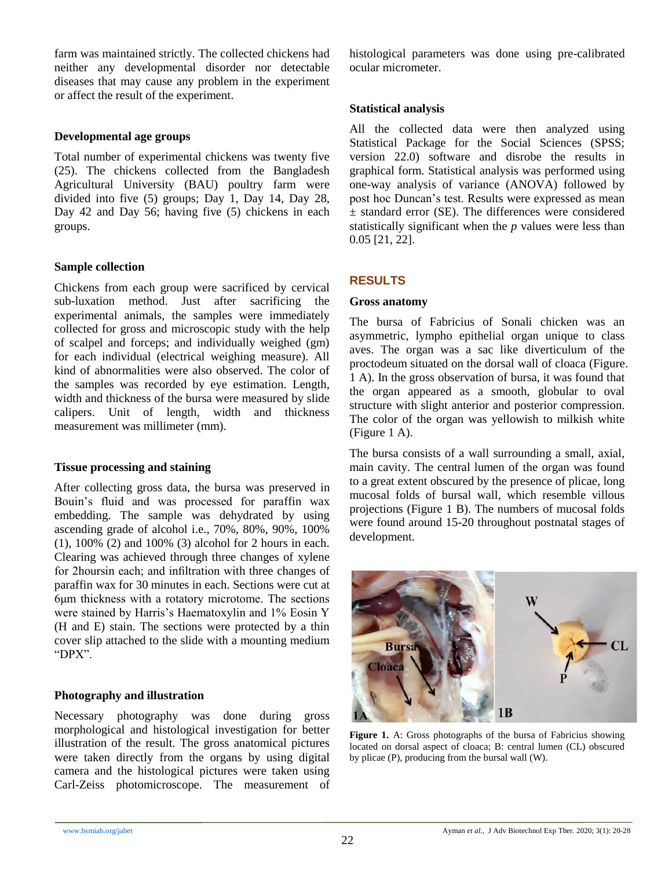farm was maintained strictly. The collected chickens had neither any developmental disorder nor detectable diseases that may cause any problem in the experiment or affect the result of the experiment.

### **Developmental age groups**

Total number of experimental chickens was twenty five (25). The chickens collected from the Bangladesh Agricultural University (BAU) poultry farm were divided into five (5) groups; Day 1, Day 14, Day 28, Day 42 and Day 56; having five (5) chickens in each groups.

### **Sample collection**

Chickens from each group were sacrificed by cervical sub-luxation method. Just after sacrificing the experimental animals, the samples were immediately collected for gross and microscopic study with the help of scalpel and forceps; and individually weighed (gm) for each individual (electrical weighing measure). All kind of abnormalities were also observed. The color of the samples was recorded by eye estimation. Length, width and thickness of the bursa were measured by slide calipers. Unit of length, width and thickness measurement was millimeter (mm).

### **Tissue processing and staining**

After collecting gross data, the bursa was preserved in Bouin's fluid and was processed for paraffin wax embedding. The sample was dehydrated by using ascending grade of alcohol i.e., 70%, 80%, 90%, 100% (1), 100% (2) and 100% (3) alcohol for 2 hours in each. Clearing was achieved through three changes of xylene for 2hoursin each; and infiltration with three changes of paraffin wax for 30 minutes in each. Sections were cut at 6μm thickness with a rotatory microtome. The sections were stained by Harris's Haematoxylin and 1% Eosin Y (H and E) stain. The sections were protected by a thin cover slip attached to the slide with a mounting medium "DPX".

### **Photography and illustration**

Necessary photography was done during gross morphological and histological investigation for better illustration of the result. The gross anatomical pictures were taken directly from the organs by using digital camera and the histological pictures were taken using Carl-Zeiss photomicroscope. The measurement of histological parameters was done using pre-calibrated ocular micrometer.

### **Statistical analysis**

All the collected data were then analyzed using Statistical Package for the Social Sciences (SPSS; version 22.0) software and disrobe the results in graphical form. Statistical analysis was performed using one-way analysis of variance (ANOVA) followed by post hoc Duncan's test. Results were expressed as mean ± standard error (SE). The differences were considered statistically significant when the *p* values were less than 0.05 [21, 22].

# **RESULTS**

#### **Gross anatomy**

The bursa of Fabricius of Sonali chicken was an asymmetric, lympho epithelial organ unique to class aves. The organ was a sac like diverticulum of the proctodeum situated on the dorsal wall of cloaca (Figure. 1 A). In the gross observation of bursa, it was found that the organ appeared as a smooth, globular to oval structure with slight anterior and posterior compression. The color of the organ was yellowish to milkish white (Figure 1 A).

The bursa consists of a wall surrounding a small, axial, main cavity. The central lumen of the organ was found to a great extent obscured by the presence of plicae, long mucosal folds of bursal wall, which resemble villous projections (Figure 1 B). The numbers of mucosal folds were found around 15-20 throughout postnatal stages of development.



**Figure 1.** A: Gross photographs of the bursa of Fabricius showing located on dorsal aspect of cloaca; B: central lumen (CL) obscured by plicae (P), producing from the bursal wall (W).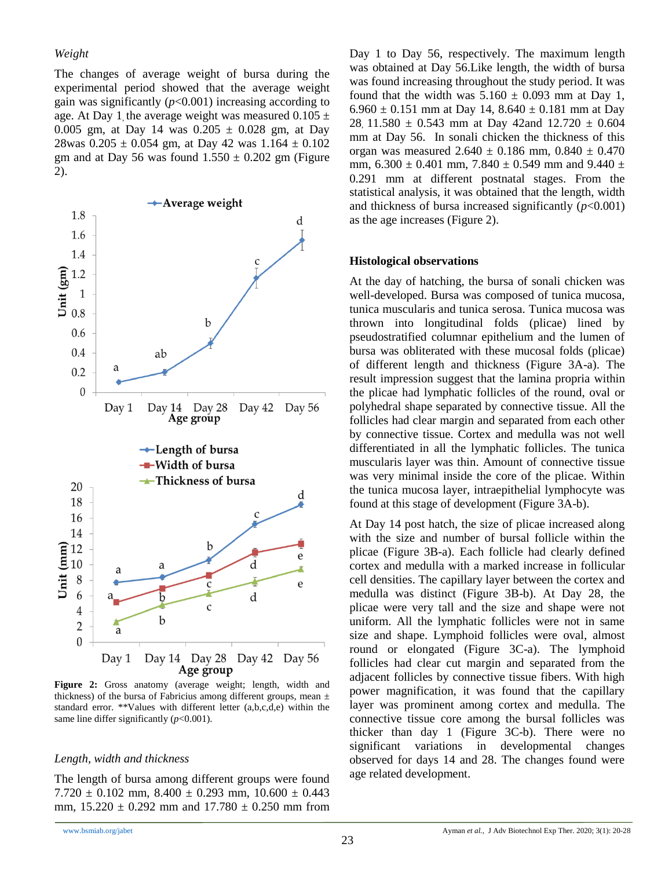#### *Weight*

The changes of average weight of bursa during the experimental period showed that the average weight gain was significantly  $(p<0.001)$  increasing according to age. At Day 1, the average weight was measured  $0.105 \pm$ 0.005 gm, at Day 14 was  $0.205 \pm 0.028$  gm, at Day 28was  $0.205 \pm 0.054$  gm, at Day 42 was  $1.164 \pm 0.102$ gm and at Day 56 was found  $1.550 \pm 0.202$  gm (Figure 2).



**Figure 2:** Gross anatomy (average weight; length, width and thickness) of the bursa of Fabricius among different groups, mean  $\pm$ standard error. \*\*Values with different letter (a,b,c,d,e) within the same line differ significantly  $(p<0.001)$ .

#### *Length, width and thickness*

The length of bursa among different groups were found  $7.720 \pm 0.102$  mm,  $8.400 \pm 0.293$  mm,  $10.600 \pm 0.443$ mm,  $15.220 \pm 0.292$  mm and  $17.780 \pm 0.250$  mm from Day 1 to Day 56, respectively. The maximum length was obtained at Day 56.Like length, the width of bursa was found increasing throughout the study period. It was found that the width was  $5.160 \pm 0.093$  mm at Day 1,  $6.960 \pm 0.151$  mm at Day 14,  $8.640 \pm 0.181$  mm at Day 28, 11.580  $\pm$  0.543 mm at Day 42and 12.720  $\pm$  0.604 mm at Day 56. In sonali chicken the thickness of this organ was measured  $2.640 \pm 0.186$  mm,  $0.840 \pm 0.470$ mm,  $6.300 \pm 0.401$  mm,  $7.840 \pm 0.549$  mm and  $9.440 \pm 0.59$ 0.291 mm at different postnatal stages. From the statistical analysis, it was obtained that the length, width and thickness of bursa increased significantly  $(p<0.001)$ as the age increases (Figure 2).

#### **Histological observations**

At the day of hatching, the bursa of sonali chicken was well-developed. Bursa was composed of tunica mucosa, tunica muscularis and tunica serosa. Tunica mucosa was thrown into longitudinal folds (plicae) lined by pseudostratified columnar epithelium and the lumen of bursa was obliterated with these mucosal folds (plicae) of different length and thickness (Figure 3A-a). The result impression suggest that the lamina propria within the plicae had lymphatic follicles of the round, oval or polyhedral shape separated by connective tissue. All the follicles had clear margin and separated from each other by connective tissue. Cortex and medulla was not well differentiated in all the lymphatic follicles. The tunica muscularis layer was thin. Amount of connective tissue was very minimal inside the core of the plicae. Within the tunica mucosa layer, intraepithelial lymphocyte was found at this stage of development (Figure 3A-b).

At Day 14 post hatch, the size of plicae increased along with the size and number of bursal follicle within the plicae (Figure 3B-a). Each follicle had clearly defined cortex and medulla with a marked increase in follicular cell densities. The capillary layer between the cortex and medulla was distinct (Figure 3B-b). At Day 28, the plicae were very tall and the size and shape were not uniform. All the lymphatic follicles were not in same size and shape. Lymphoid follicles were oval, almost round or elongated (Figure 3C-a). The lymphoid follicles had clear cut margin and separated from the adjacent follicles by connective tissue fibers. With high power magnification, it was found that the capillary layer was prominent among cortex and medulla. The connective tissue core among the bursal follicles was thicker than day 1 (Figure 3C-b). There were no significant variations in developmental changes observed for days 14 and 28. The changes found were age related development.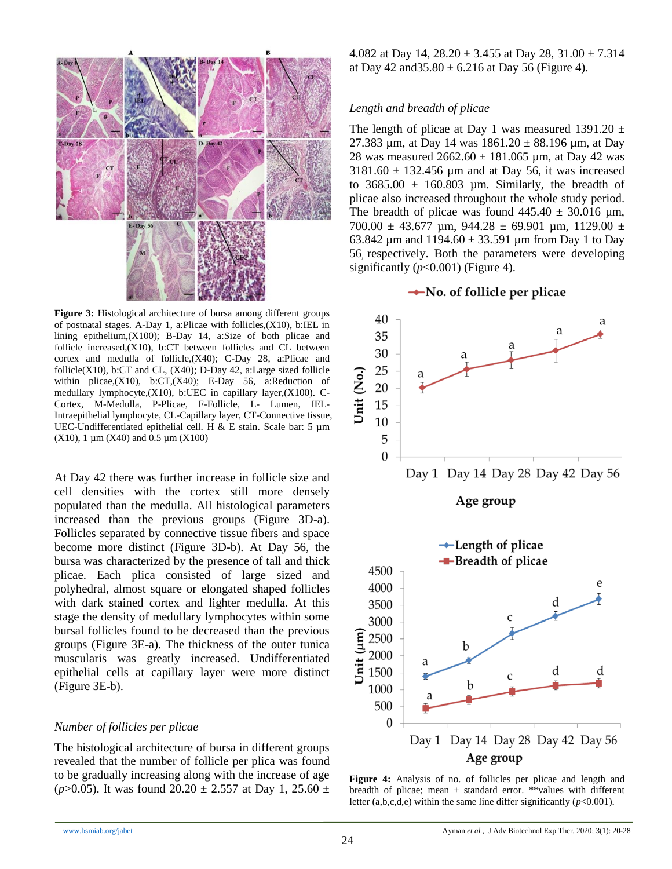

**Figure 3:** Histological architecture of bursa among different groups of postnatal stages. A-Day 1, a:Plicae with follicles,(X10), b:IEL in lining epithelium, $(X100)$ ; B-Day 14, a:Size of both plicae and follicle increased, $(X10)$ , b:CT between follicles and CL between cortex and medulla of follicle,(X40); C-Day 28, a:Plicae and follicle(X10), b:CT and CL,  $(X40)$ ; D-Day 42, a:Large sized follicle within plicae, $(X10)$ , b:CT, $(X40)$ ; E-Day 56, a:Reduction of medullary lymphocyte,(X10), b:UEC in capillary layer,(X100). C-Cortex, M-Medulla, P-Plicae, F-Follicle, L- Lumen, IEL-Intraepithelial lymphocyte, CL-Capillary layer, CT-Connective tissue, UEC-Undifferentiated epithelial cell. H & E stain. Scale bar: 5 µm  $(X10)$ , 1  $\mu$ m  $(X40)$  and 0.5  $\mu$ m  $(X100)$ 

At Day 42 there was further increase in follicle size and cell densities with the cortex still more densely populated than the medulla. All histological parameters increased than the previous groups (Figure 3D-a). Follicles separated by connective tissue fibers and space become more distinct (Figure 3D-b). At Day 56, the bursa was characterized by the presence of tall and thick plicae. Each plica consisted of large sized and polyhedral, almost square or elongated shaped follicles with dark stained cortex and lighter medulla. At this stage the density of medullary lymphocytes within some bursal follicles found to be decreased than the previous groups (Figure 3E-a). The thickness of the outer tunica muscularis was greatly increased. Undifferentiated epithelial cells at capillary layer were more distinct (Figure 3E-b).

#### *Number of follicles per plicae*

The histological architecture of bursa in different groups revealed that the number of follicle per plica was found to be gradually increasing along with the increase of age ( $p$ >0.05). It was found 20.20  $\pm$  2.557 at Day 1, 25.60  $\pm$  4.082 at Day 14,  $28.20 \pm 3.455$  at Day 28,  $31.00 \pm 7.314$ at Day 42 and  $35.80 \pm 6.216$  at Day 56 (Figure 4).

# *Length and breadth of plicae*

The length of plicae at Day 1 was measured  $1391.20 \pm$ 27.383  $\mu$ m, at Day 14 was 1861.20  $\pm$  88.196  $\mu$ m, at Day 28 was measured  $2662.60 \pm 181.065$  µm, at Day 42 was  $3181.60 \pm 132.456$  µm and at Day 56, it was increased to  $3685.00 \pm 160.803$  µm. Similarly, the breadth of plicae also increased throughout the whole study period. The breadth of plicae was found  $445.40 \pm 30.016$  µm, 700.00  $\pm$  43.677 µm, 944.28  $\pm$  69.901 µm, 1129.00  $\pm$ 63.842  $\mu$ m and 1194.60  $\pm$  33.591  $\mu$ m from Day 1 to Day 56, respectively. Both the parameters were developing significantly  $(p<0.001)$  (Figure 4).

#### $\rightarrow$  No. of follicle per plicae



**Figure 4:** Analysis of no. of follicles per plicae and length and breadth of plicae; mean  $\pm$  standard error. \*\*values with different letter  $(a,b,c,d,e)$  within the same line differ significantly  $(p<0.001)$ .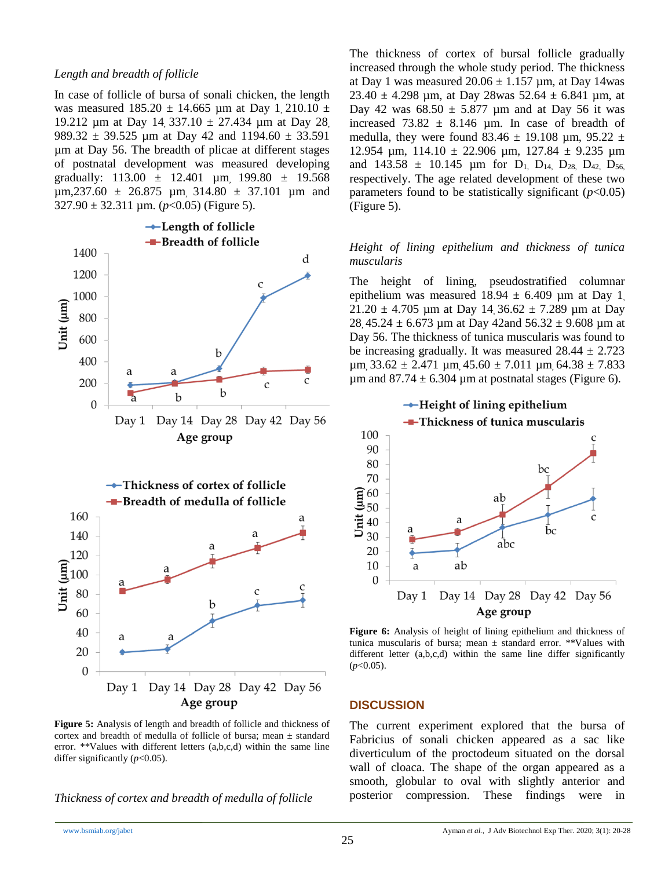#### *Length and breadth of follicle*

In case of follicle of bursa of sonali chicken, the length was measured  $185.20 \pm 14.665$  µm at Day 1, 210.10 ± 19.212 µm at Day 14, 337.10  $\pm$  27.434 µm at Day 28. 989.32  $\pm$  39.525 µm at Day 42 and 1194.60  $\pm$  33.591 µm at Day 56. The breadth of plicae at different stages of postnatal development was measured developing gradually:  $113.00 \pm 12.401$  µm,  $199.80 \pm 19.568$  $\mu$ m,237.60  $\pm$  26.875  $\mu$ m, 314.80  $\pm$  37.101  $\mu$ m and  $327.90 \pm 32.311 \,\mu \text{m}$ . ( $p < 0.05$ ) (Figure 5).



**Figure 5:** Analysis of length and breadth of follicle and thickness of cortex and breadth of medulla of follicle of bursa; mean ± standard error. \*\*Values with different letters (a,b,c,d) within the same line differ significantly (*p*<0.05).

*Thickness of cortex and breadth of medulla of follicle*

The thickness of cortex of bursal follicle gradually increased through the whole study period. The thickness at Day 1 was measured  $20.06 \pm 1.157$  µm, at Day 14was 23.40  $\pm$  4.298 µm, at Day 28was 52.64  $\pm$  6.841 µm, at Day 42 was  $68.50 \pm 5.877$  µm and at Day 56 it was increased 73.82  $\pm$  8.146 µm. In case of breadth of medulla, they were found  $83.46 \pm 19.108$  µm,  $95.22 \pm 1.08$ 12.954  $\mu$ m, 114.10  $\pm$  22.906  $\mu$ m, 127.84  $\pm$  9.235  $\mu$ m and  $143.58 \pm 10.145$  um for D<sub>1</sub> D<sub>14</sub> D<sub>28</sub> D<sub>42</sub> D<sub>56</sub> respectively. The age related development of these two parameters found to be statistically significant  $(p<0.05)$ (Figure 5).

#### *Height of lining epithelium and thickness of tunica muscularis*

The height of lining, pseudostratified columnar epithelium was measured  $18.94 \pm 6.409$  µm at Day 1,  $21.20 \pm 4.705$  µm at Day 14, 36.62  $\pm$  7.289 µm at Day 28, 45.24  $\pm$  6.673 µm at Day 42and 56.32  $\pm$  9.608 µm at Day 56. The thickness of tunica muscularis was found to be increasing gradually. It was measured  $28.44 \pm 2.723$  $\mu$ m, 33.62 ± 2.471  $\mu$ m, 45.60 ± 7.011  $\mu$ m, 64.38 ± 7.833  $\mu$ m and 87.74  $\pm$  6.304  $\mu$ m at postnatal stages (Figure 6).



**Figure 6:** Analysis of height of lining epithelium and thickness of tunica muscularis of bursa; mean  $\pm$  standard error. \*\*Values with different letter (a,b,c,d) within the same line differ significantly  $(p<0.05)$ .

#### **DISCUSSION**

The current experiment explored that the bursa of Fabricius of sonali chicken appeared as a sac like diverticulum of the proctodeum situated on the dorsal wall of cloaca. The shape of the organ appeared as a smooth, globular to oval with slightly anterior and posterior compression. These findings were in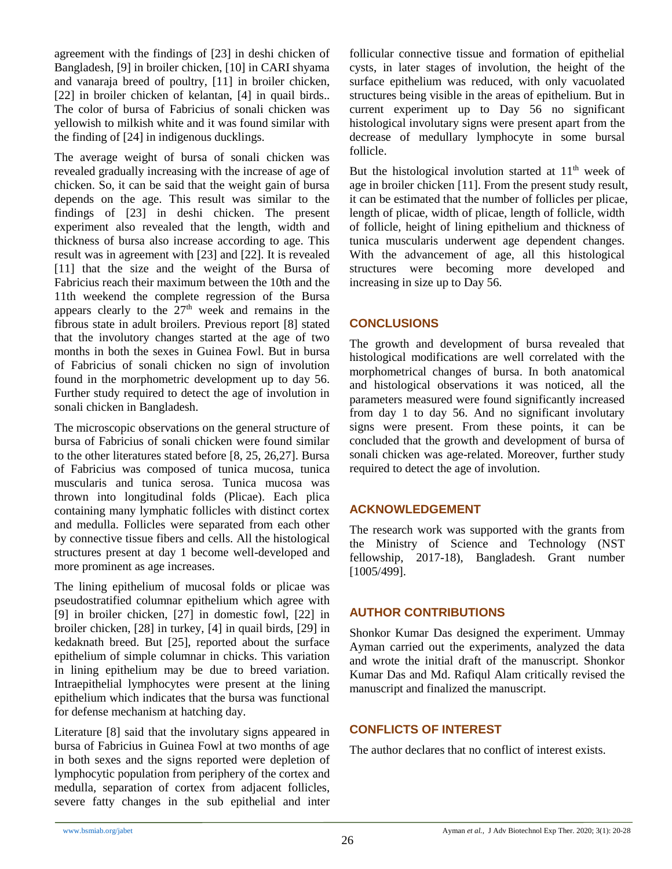agreement with the findings of [23] in deshi chicken of Bangladesh, [9] in broiler chicken, [10] in CARI shyama and vanaraja breed of poultry, [11] in broiler chicken, [22] in broiler chicken of kelantan, [4] in quail birds.. The color of bursa of Fabricius of sonali chicken was yellowish to milkish white and it was found similar with the finding of [24] in indigenous ducklings.

The average weight of bursa of sonali chicken was revealed gradually increasing with the increase of age of chicken. So, it can be said that the weight gain of bursa depends on the age. This result was similar to the findings of [23] in deshi chicken. The present experiment also revealed that the length, width and thickness of bursa also increase according to age. This result was in agreement with [23] and [22]. It is revealed [11] that the size and the weight of the Bursa of Fabricius reach their maximum between the 10th and the 11th weekend the complete regression of the Bursa appears clearly to the  $27<sup>th</sup>$  week and remains in the fibrous state in adult broilers. Previous report [8] stated that the involutory changes started at the age of two months in both the sexes in Guinea Fowl. But in bursa of Fabricius of sonali chicken no sign of involution found in the morphometric development up to day 56. Further study required to detect the age of involution in sonali chicken in Bangladesh.

The microscopic observations on the general structure of bursa of Fabricius of sonali chicken were found similar to the other literatures stated before [8, 25, 26,27]. Bursa of Fabricius was composed of tunica mucosa, tunica muscularis and tunica serosa. Tunica mucosa was thrown into longitudinal folds (Plicae). Each plica containing many lymphatic follicles with distinct cortex and medulla. Follicles were separated from each other by connective tissue fibers and cells. All the histological structures present at day 1 become well-developed and more prominent as age increases.

The lining epithelium of mucosal folds or plicae was pseudostratified columnar epithelium which agree with [9] in broiler chicken, [27] in domestic fowl, [22] in broiler chicken, [28] in turkey, [4] in quail birds, [29] in kedaknath breed. But [25], reported about the surface epithelium of simple columnar in chicks. This variation in lining epithelium may be due to breed variation. Intraepithelial lymphocytes were present at the lining epithelium which indicates that the bursa was functional for defense mechanism at hatching day.

Literature [8] said that the involutary signs appeared in bursa of Fabricius in Guinea Fowl at two months of age in both sexes and the signs reported were depletion of lymphocytic population from periphery of the cortex and medulla, separation of cortex from adjacent follicles, severe fatty changes in the sub epithelial and inter

follicular connective tissue and formation of epithelial cysts, in later stages of involution, the height of the surface epithelium was reduced, with only vacuolated structures being visible in the areas of epithelium. But in current experiment up to Day 56 no significant histological involutary signs were present apart from the decrease of medullary lymphocyte in some bursal follicle.

But the histological involution started at  $11<sup>th</sup>$  week of age in broiler chicken [11]. From the present study result, it can be estimated that the number of follicles per plicae, length of plicae, width of plicae, length of follicle, width of follicle, height of lining epithelium and thickness of tunica muscularis underwent age dependent changes. With the advancement of age, all this histological structures were becoming more developed and increasing in size up to Day 56.

# **CONCLUSIONS**

The growth and development of bursa revealed that histological modifications are well correlated with the morphometrical changes of bursa. In both anatomical and histological observations it was noticed, all the parameters measured were found significantly increased from day 1 to day 56. And no significant involutary signs were present. From these points, it can be concluded that the growth and development of bursa of sonali chicken was age-related. Moreover, further study required to detect the age of involution.

# **ACKNOWLEDGEMENT**

The research work was supported with the grants from the Ministry of Science and Technology (NST fellowship, 2017-18), Bangladesh. Grant number [1005/499].

# **AUTHOR CONTRIBUTIONS**

Shonkor Kumar Das designed the experiment. Ummay Ayman carried out the experiments, analyzed the data and wrote the initial draft of the manuscript. Shonkor Kumar Das and Md. Rafiqul Alam critically revised the manuscript and finalized the manuscript.

# **CONFLICTS OF INTEREST**

The author declares that no conflict of interest exists.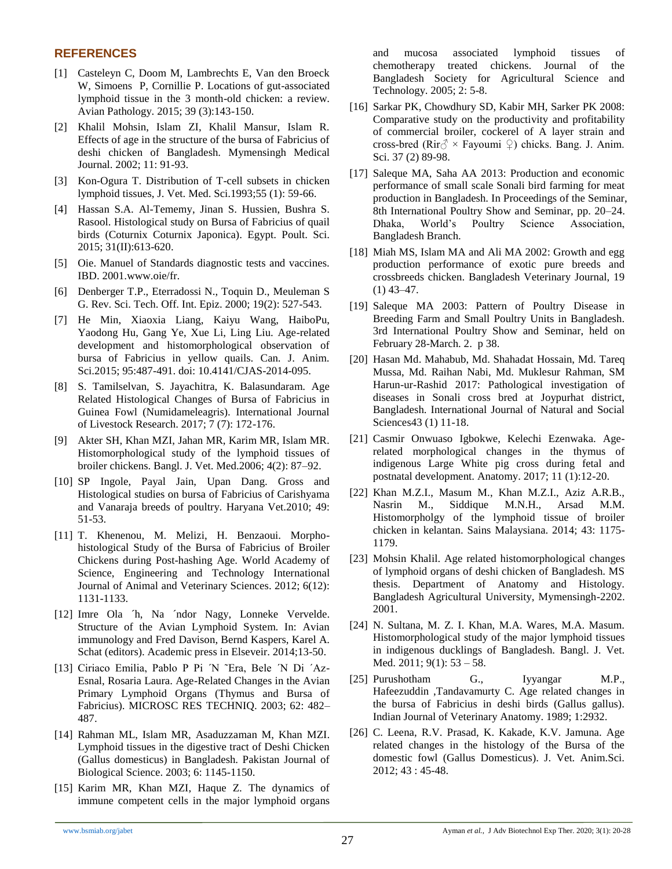### **REFERENCES**

- [1] Casteleyn C, Doom M, Lambrechts E, Van den Broeck W, Simoens P, Cornillie P. Locations of gut-associated lymphoid tissue in the 3 month-old chicken: a review. Avian Pathology. 2015; 39 (3):143-150.
- [2] Khalil Mohsin, Islam ZI, Khalil Mansur, Islam R. Effects of age in the structure of the bursa of Fabricius of deshi chicken of Bangladesh. Mymensingh Medical Journal. 2002; 11: 91-93.
- [3] Kon-Ogura T. Distribution of T-cell subsets in chicken lymphoid tissues, J. Vet. Med. Sci.1993;55 (1): 59-66.
- [4] Hassan S.A. Al-Tememy, Jinan S. Hussien, Bushra S. Rasool. Histological study on Bursa of Fabricius of quail birds (Coturnix Coturnix Japonica). Egypt. Poult. Sci. 2015; 31(II):613-620.
- [5] Oie. Manuel of Standards diagnostic tests and vaccines. IBD. 200[1.www.oie/fr.](http://www.oie/fr)
- [6] Denberger T.P., Eterradossi N., Toquin D., Meuleman S G. Rev. Sci. Tech. Off. Int. Epiz. 2000; 19(2): 527-543.
- [7] He Min, Xiaoxia Liang, Kaiyu Wang, HaiboPu, Yaodong Hu, Gang Ye, Xue Li, Ling Liu. Age-related development and histomorphological observation of bursa of Fabricius in yellow quails. Can. J. Anim. Sci.2015; 95:487-491. doi: 10.4141/CJAS-2014-095.
- [8] S. Tamilselvan, S. Jayachitra, K. Balasundaram. Age Related Histological Changes of Bursa of Fabricius in Guinea Fowl (Numidameleagris). International Journal of Livestock Research. 2017; 7 (7): 172-176.
- [9] Akter SH, Khan MZI, Jahan MR, Karim MR, Islam MR. Histomorphological study of the lymphoid tissues of broiler chickens. Bangl. J. Vet. Med.2006; 4(2): 87–92.
- [10] SP Ingole, Payal Jain, Upan Dang. Gross and Histological studies on bursa of Fabricius of Carishyama and Vanaraja breeds of poultry. Haryana Vet.2010; 49: 51-53.
- [11] T. Khenenou, M. Melizi, H. Benzaoui. Morphohistological Study of the Bursa of Fabricius of Broiler Chickens during Post-hashing Age. World Academy of Science, Engineering and Technology International Journal of Animal and Veterinary Sciences. 2012; 6(12): 1131-1133.
- [12] Imre Ola ´h, Na ´ndor Nagy, Lonneke Vervelde. Structure of the Avian Lymphoid System. In: Avian immunology and Fred Davison, Bernd Kaspers, Karel A. Schat (editors). Academic press in Elseveir. 2014;13-50.
- [13] Ciriaco Emilia, Pablo P Pi ´N ˜Era, Bele ´N Di ´Az-Esnal, Rosaria Laura. Age-Related Changes in the Avian Primary Lymphoid Organs (Thymus and Bursa of Fabricius). MICROSC RES TECHNIQ. 2003; 62: 482– 487.
- [14] Rahman ML, Islam MR, Asaduzzaman M, Khan MZI. Lymphoid tissues in the digestive tract of Deshi Chicken (Gallus domesticus) in Bangladesh. Pakistan Journal of Biological Science. 2003; 6: 1145-1150.
- [15] Karim MR, Khan MZI, Haque Z. The dynamics of immune competent cells in the major lymphoid organs

and mucosa associated lymphoid tissues of chemotherapy treated chickens. Journal of the Bangladesh Society for Agricultural Science and Technology. 2005; 2: 5-8.

- [16] Sarkar PK, Chowdhury SD, Kabir MH, Sarker PK 2008: Comparative study on the productivity and profitability of commercial broiler, cockerel of A layer strain and cross-bred (Rir $\circlearrowleft \times$  Fayoumi  $\circlearrowleft$ ) chicks. Bang. J. Anim. Sci. 37 (2) 89-98.
- [17] Saleque MA, Saha AA 2013: Production and economic performance of small scale Sonali bird farming for meat production in Bangladesh. In Proceedings of the Seminar, 8th International Poultry Show and Seminar, pp. 20–24. Dhaka, World's Poultry Science Association, Bangladesh Branch.
- [18] Miah MS, Islam MA and Ali MA 2002: Growth and egg production performance of exotic pure breeds and crossbreeds chicken. Bangladesh Veterinary Journal, 19  $(1)$  43–47.
- [19] Saleque MA 2003: Pattern of Poultry Disease in Breeding Farm and Small Poultry Units in Bangladesh. 3rd International Poultry Show and Seminar, held on February 28-March. 2. p 38.
- [20] Hasan Md. Mahabub, Md. Shahadat Hossain, Md. Tareq Mussa, Md. Raihan Nabi, Md. Muklesur Rahman, SM Harun-ur-Rashid 2017: Pathological investigation of diseases in Sonali cross bred at Joypurhat district, Bangladesh. International Journal of Natural and Social Sciences43 (1) 11-18.
- [21] Casmir Onwuaso Igbokwe, Kelechi Ezenwaka. Agerelated morphological changes in the thymus of indigenous Large White pig cross during fetal and postnatal development. Anatomy. 2017; 11 (1):12-20.
- [22] Khan M.Z.I., Masum M., Khan M.Z.I., Aziz A.R.B., Nasrin M., Siddique M.N.H., Arsad M.M. Histomorpholgy of the lymphoid tissue of broiler chicken in kelantan. Sains Malaysiana. 2014; 43: 1175- 1179.
- [23] Mohsin Khalil. Age related histomorphological changes of lymphoid organs of deshi chicken of Bangladesh. MS thesis. Department of Anatomy and Histology. Bangladesh Agricultural University, Mymensingh-2202. 2001.
- [24] N. Sultana, M. Z. I. Khan, M.A. Wares, M.A. Masum. Histomorphological study of the major lymphoid tissues in indigenous ducklings of Bangladesh. Bangl. J. Vet. Med. 2011; 9(1): 53 – 58.
- [25] Purushotham G., Iyyangar M.P., Hafeezuddin ,Tandavamurty C. Age related changes in the bursa of Fabricius in deshi birds (Gallus gallus). Indian Journal of Veterinary Anatomy. 1989; 1:2932.
- [26] C. Leena, R.V. Prasad, K. Kakade, K.V. Jamuna. Age related changes in the histology of the Bursa of the domestic fowl (Gallus Domesticus). J. Vet. Anim.Sci. 2012; 43 : 45-48.